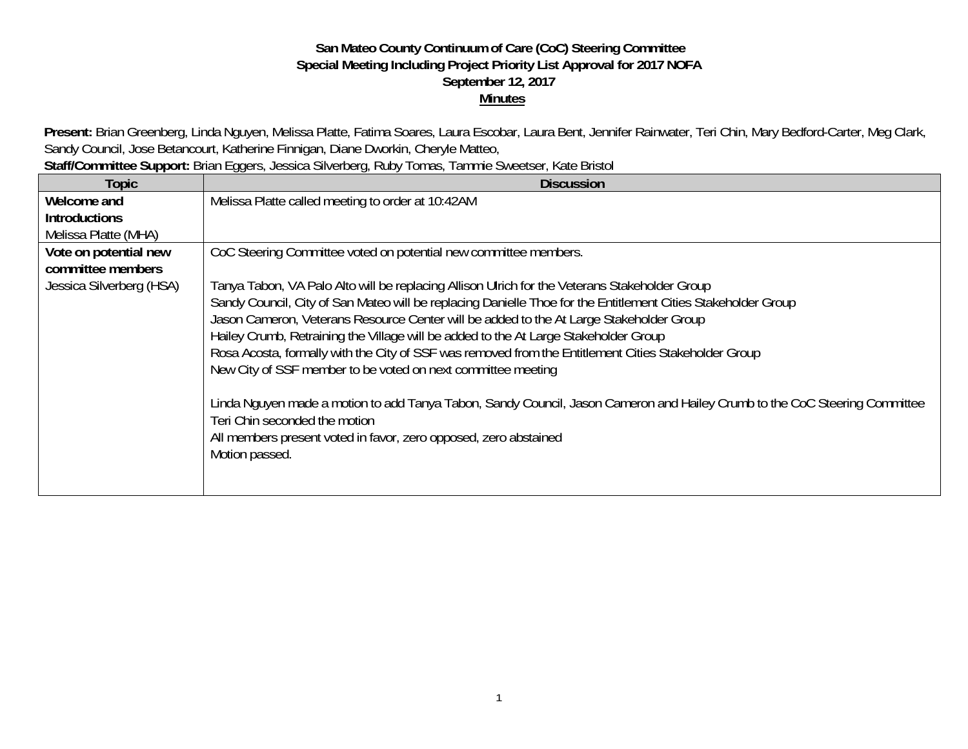## **San Mateo County Continuum of Care (CoC) Steering Committee Special Meeting Including Project Priority List Approval for 2017 NOFA September 12, 2017 Minutes**

Present: Brian Greenberg, Linda Nguyen, Melissa Platte, Fatima Soares, Laura Escobar, Laura Bent, Jennifer Rainwater, Teri Chin, Mary Bedford-Carter, Meg Clark, Sandy Council, Jose Betancourt, Katherine Finnigan, Diane Dworkin, Cheryle Matteo,

| Staff/Committee Support: Brian Eggers, Jessica Silverberg, Ruby Tomas, Tammie Sweetser, Kate Bristol |                                                                                                                            |  |  |  |
|------------------------------------------------------------------------------------------------------|----------------------------------------------------------------------------------------------------------------------------|--|--|--|
| Topic                                                                                                | <b>Discussion</b>                                                                                                          |  |  |  |
| Welcome and                                                                                          | Melissa Platte called meeting to order at 10:42AM                                                                          |  |  |  |
| <b>Introductions</b>                                                                                 |                                                                                                                            |  |  |  |
| Melissa Platte (MHA)                                                                                 |                                                                                                                            |  |  |  |
| Vote on potential new                                                                                | CoC Steering Committee voted on potential new committee members.                                                           |  |  |  |
| committee members                                                                                    |                                                                                                                            |  |  |  |
| Jessica Silverberg (HSA)                                                                             | Tanya Tabon, VA Palo Alto will be replacing Allison Ulrich for the Veterans Stakeholder Group                              |  |  |  |
|                                                                                                      | Sandy Council, City of San Mateo will be replacing Danielle Thoe for the Entitlement Cities Stakeholder Group              |  |  |  |
|                                                                                                      | Jason Cameron, Veterans Resource Center will be added to the At Large Stakeholder Group                                    |  |  |  |
|                                                                                                      | Hailey Crumb, Retraining the Village will be added to the At Large Stakeholder Group                                       |  |  |  |
|                                                                                                      | Rosa Acosta, formally with the City of SSF was removed from the Entitlement Cities Stakeholder Group                       |  |  |  |
|                                                                                                      | New City of SSF member to be voted on next committee meeting                                                               |  |  |  |
|                                                                                                      |                                                                                                                            |  |  |  |
|                                                                                                      | Linda Nguyen made a motion to add Tanya Tabon, Sandy Council, Jason Cameron and Hailey Crumb to the CoC Steering Committee |  |  |  |
|                                                                                                      | Teri Chin seconded the motion                                                                                              |  |  |  |
|                                                                                                      | All members present voted in favor, zero opposed, zero abstained                                                           |  |  |  |
|                                                                                                      | Motion passed.                                                                                                             |  |  |  |
|                                                                                                      |                                                                                                                            |  |  |  |
|                                                                                                      |                                                                                                                            |  |  |  |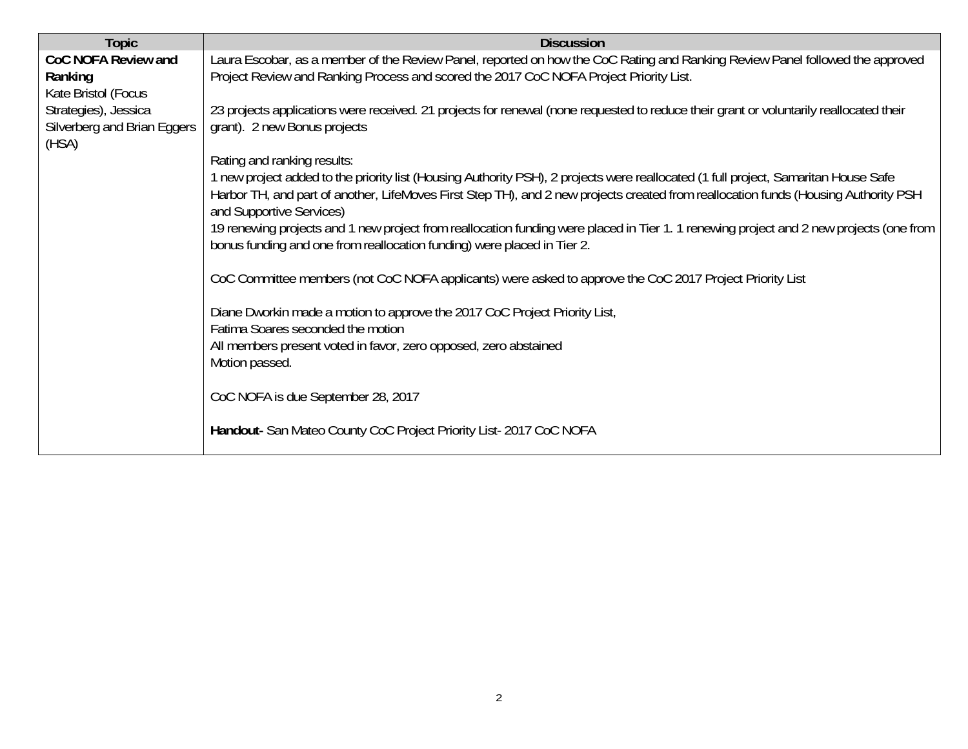| <b>Topic</b>                                                 | <b>Discussion</b>                                                                                                                                                                                                                                                                                      |
|--------------------------------------------------------------|--------------------------------------------------------------------------------------------------------------------------------------------------------------------------------------------------------------------------------------------------------------------------------------------------------|
| CoC NOFA Review and<br>Ranking<br>Kate Bristol (Focus        | Laura Escobar, as a member of the Review Panel, reported on how the CoC Rating and Ranking Review Panel followed the approved<br>Project Review and Ranking Process and scored the 2017 CoC NOFA Project Priority List.                                                                                |
| Strategies), Jessica<br>Silverberg and Brian Eggers<br>(HSA) | 23 projects applications were received. 21 projects for renewal (none requested to reduce their grant or voluntarily reallocated their<br>grant). 2 new Bonus projects                                                                                                                                 |
|                                                              | Rating and ranking results:                                                                                                                                                                                                                                                                            |
|                                                              | 1 new project added to the priority list (Housing Authority PSH), 2 projects were reallocated (1 full project, Samaritan House Safe<br>Harbor TH, and part of another, LifeMoves First Step TH), and 2 new projects created from reallocation funds (Housing Authority PSH<br>and Supportive Services) |
|                                                              | 19 renewing projects and 1 new project from reallocation funding were placed in Tier 1. 1 renewing project and 2 new projects (one from<br>bonus funding and one from reallocation funding) were placed in Tier 2.                                                                                     |
|                                                              | CoC Committee members (not CoC NOFA applicants) were asked to approve the CoC 2017 Project Priority List                                                                                                                                                                                               |
|                                                              | Diane Dworkin made a motion to approve the 2017 CoC Project Priority List,<br>Fatima Soares seconded the motion                                                                                                                                                                                        |
|                                                              | All members present voted in favor, zero opposed, zero abstained<br>Motion passed.                                                                                                                                                                                                                     |
|                                                              | CoC NOFA is due September 28, 2017                                                                                                                                                                                                                                                                     |
|                                                              | Handout- San Mateo County CoC Project Priority List-2017 CoC NOFA                                                                                                                                                                                                                                      |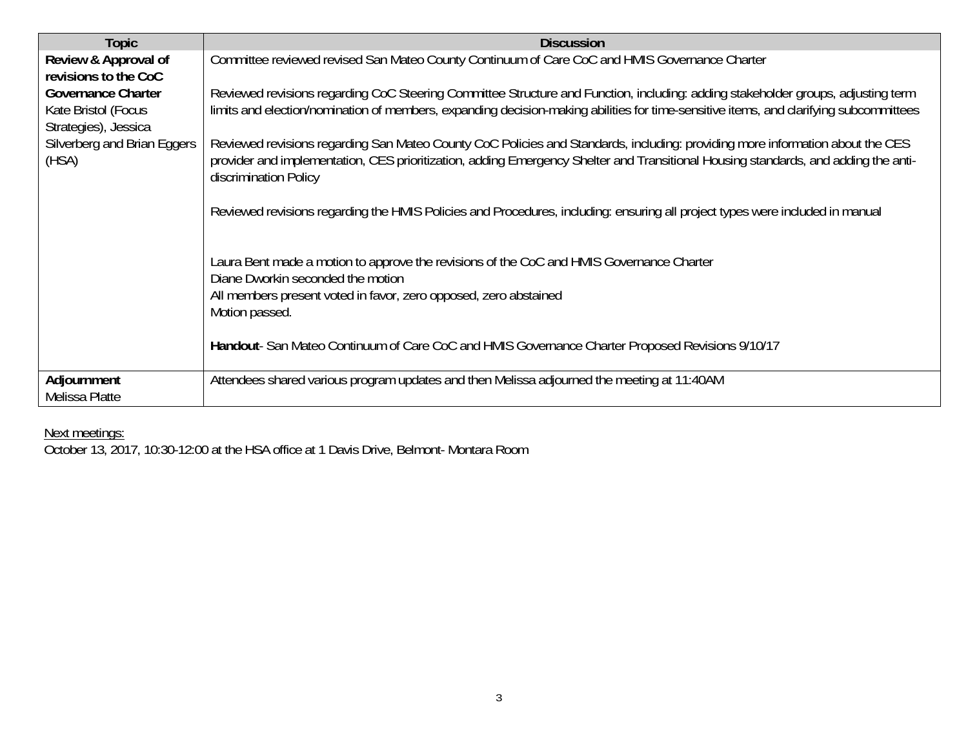| Topic                                                                    | <b>Discussion</b>                                                                                                                                                                                                                                                                            |  |  |  |
|--------------------------------------------------------------------------|----------------------------------------------------------------------------------------------------------------------------------------------------------------------------------------------------------------------------------------------------------------------------------------------|--|--|--|
| Review & Approval of<br>revisions to the CoC                             | Committee reviewed revised San Mateo County Continuum of Care CoC and HMIS Governance Charter                                                                                                                                                                                                |  |  |  |
| <b>Governance Charter</b><br>Kate Bristol (Focus<br>Strategies), Jessica | Reviewed revisions regarding CoC Steering Committee Structure and Function, including: adding stakeholder groups, adjusting term<br>limits and election/nomination of members, expanding decision-making abilities for time-sensitive items, and clarifying subcommittees                    |  |  |  |
| Silverberg and Brian Eggers<br>(HSA)                                     | Reviewed revisions regarding San Mateo County CoC Policies and Standards, including: providing more information about the CES<br>provider and implementation, CES prioritization, adding Emergency Shelter and Transitional Housing standards, and adding the anti-<br>discrimination Policy |  |  |  |
|                                                                          | Reviewed revisions regarding the HMIS Policies and Procedures, including: ensuring all project types were included in manual                                                                                                                                                                 |  |  |  |
|                                                                          | Laura Bent made a motion to approve the revisions of the CoC and HMIS Governance Charter<br>Diane Dworkin seconded the motion<br>All members present voted in favor, zero opposed, zero abstained<br>Motion passed.                                                                          |  |  |  |
|                                                                          | Handout-San Mateo Continuum of Care CoC and HMIS Governance Charter Proposed Revisions 9/10/17                                                                                                                                                                                               |  |  |  |
| Adjournment<br>Melissa Platte                                            | Attendees shared various program updates and then Melissa adjourned the meeting at 11:40AM                                                                                                                                                                                                   |  |  |  |

## Next meetings:

October 13, 2017, 10:30-12:00 at the HSA office at 1 Davis Drive, Belmont- Montara Room